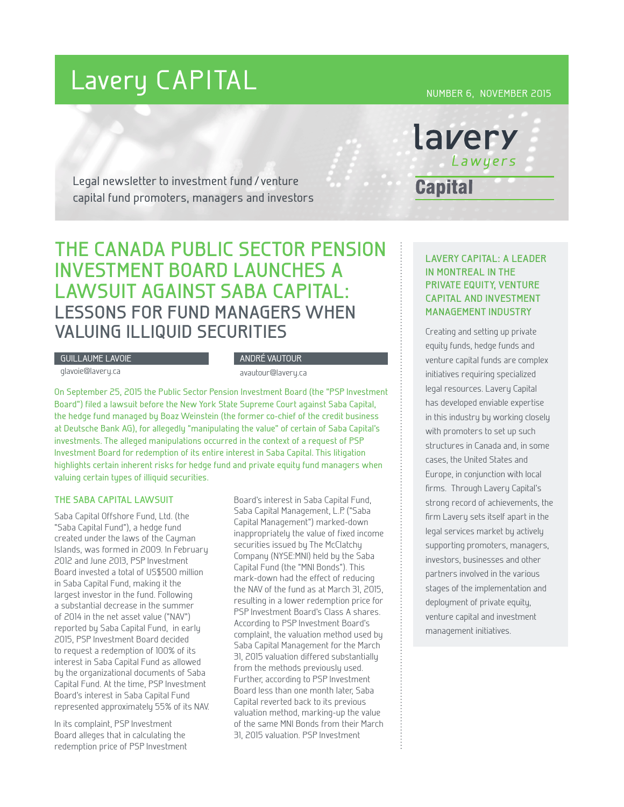# Lavery CAPITAL

NUMBER 6, NOVEMBER 2015

lavery

**Capital** 

Lawyers

Legal newsletter to investment fund / venture capital fund promoters, managers and investors

## **THE CANADA PUBLIC SECTOR PENSION INVESTMENT BOARD LAUNCHES A LAWSUIT AGAINST SABA CAPITAL: LESSONS FOR FUND MANAGERS WHEN VALUING ILLIQUID SECURITIES**

#### GUILLAUME LAVOIE

glavoie@lavery.ca

#### ANDRÉ VAUTOUR

avautour@lavery.ca

On September 25, 2015 the Public Sector Pension Investment Board (the "PSP Investment Board") filed a lawsuit before the New York State Supreme Court against Saba Capital, the hedge fund managed by Boaz Weinstein (the former co-chief of the credit business at Deutsche Bank AG), for allegedly "manipulating the value" of certain of Saba Capital's investments. The alleged manipulations occurred in the context of a request of PSP Investment Board for redemption of its entire interest in Saba Capital. This litigation highlights certain inherent risks for hedge fund and private equity fund managers when valuing certain types of illiquid securities.

#### **THE SABA CAPITAL LAWSUIT**

Saba Capital Offshore Fund, Ltd. (the "Saba Capital Fund"), a hedge fund created under the laws of the Cayman Islands, was formed in 2009. In February 2012 and June 2013, PSP Investment Board invested a total of US\$500 million in Saba Capital Fund, making it the largest investor in the fund. Following a substantial decrease in the summer of 2014 in the net asset value ("NAV") reported by Saba Capital Fund, in early 2015, PSP Investment Board decided to request a redemption of 100% of its interest in Saba Capital Fund as allowed by the organizational documents of Saba Capital Fund. At the time, PSP Investment Board's interest in Saba Capital Fund represented approximately 55% of its NAV.

In its complaint, PSP Investment Board alleges that in calculating the redemption price of PSP Investment

Board's interest in Saba Capital Fund, Saba Capital Management, L.P. ("Saba Capital Management") marked-down inappropriately the value of fixed income securities issued by The McClatchy Company (NYSE:MNI) held by the Saba Capital Fund (the "MNI Bonds"). This mark-down had the effect of reducing the NAV of the fund as at March 31, 2015, resulting in a lower redemption price for PSP Investment Board's Class A shares. According to PSP Investment Board's complaint, the valuation method used by Saba Capital Management for the March 31, 2015 valuation differed substantially from the methods previously used. Further, according to PSP Investment Board less than one month later, Saba Capital reverted back to its previous valuation method, marking-up the value of the same MNI Bonds from their March 31, 2015 valuation. PSP Investment

### **LAVERY CAPITAL: A LEADER IN MONTREAL IN THE PRIVATE EQUITY, VENTURE CAPITAL AND INVESTMENT MANAGEMENT INDUSTRY**

Creating and setting up private equity funds, hedge funds and venture capital funds are complex initiatives requiring specialized legal resources. Lavery Capital has developed enviable expertise in this industry by working closely with promoters to set up such structures in Canada and, in some cases, the United States and Europe, in conjunction with local firms. Through Lavery Capital's strong record of achievements, the firm Lavery sets itself apart in the legal services market by actively supporting promoters, managers, investors, businesses and other partners involved in the various stages of the implementation and deployment of private equity, venture capital and investment management initiatives.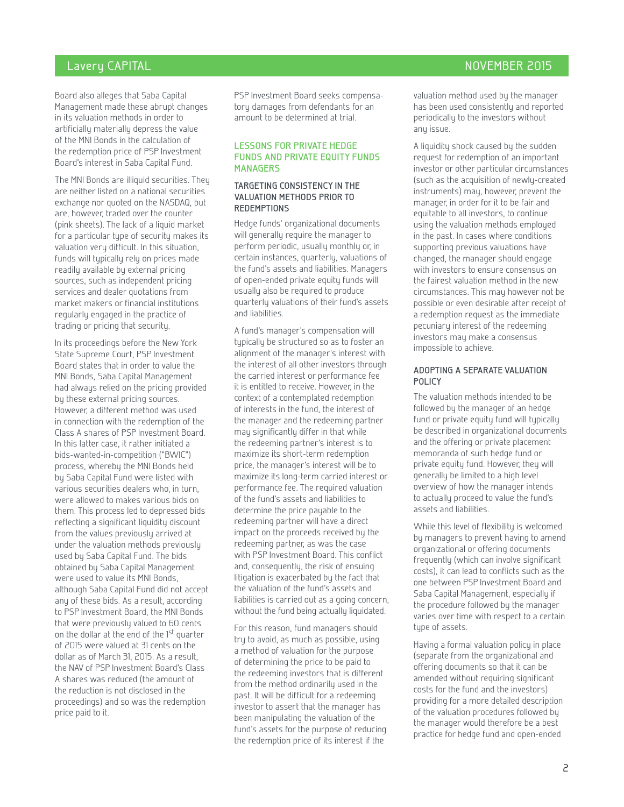#### Lavery CAPITAL November 2015

Board also alleges that Saba Capital Management made these abrupt changes in its valuation methods in order to artificially materially depress the value of the MNI Bonds in the calculation of the redemption price of PSP Investment Board's interest in Saba Capital Fund.

The MNI Bonds are illiquid securities. They are neither listed on a national securities exchange nor quoted on the NASDAQ, but are, however, traded over the counter (pink sheets). The lack of a liquid market for a particular type of security makes its valuation very difficult. In this situation, funds will typically rely on prices made readily available by external pricing sources, such as independent pricing services and dealer quotations from market makers or financial institutions regularly engaged in the practice of trading or pricing that security.

In its proceedings before the New York State Supreme Court, PSP Investment Board states that in order to value the MNI Bonds, Saba Capital Management had always relied on the pricing provided by these external pricing sources. However, a different method was used in connection with the redemption of the Class A shares of PSP Investment Board. In this latter case, it rather initiated a bids-wanted-in-competition ("BWIC") process, whereby the MNI Bonds held by Saba Capital Fund were listed with various securities dealers who, in turn, were allowed to makes various bids on them. This process led to depressed bids reflecting a significant liquidity discount from the values previously arrived at under the valuation methods previously used by Saba Capital Fund. The bids obtained by Saba Capital Management were used to value its MNI Bonds, although Saba Capital Fund did not accept any of these bids. As a result, according to PSP Investment Board, the MNI Bonds that were previously valued to 60 cents on the dollar at the end of the 1st quarter of 2015 were valued at 31 cents on the dollar as of March 31, 2015. As a result, the NAV of PSP Investment Board's Class A shares was reduced (the amount of the reduction is not disclosed in the proceedings) and so was the redemption price paid to it.

PSP Investment Board seeks compensatory damages from defendants for an amount to be determined at trial.

#### **LESSONS FOR PRIVATE HEDGE FUNDS AND PRIVATE EQUITY FUNDS MANAGERS**

#### **TARGETING CONSISTENCY IN THE VALUATION METHODS PRIOR TO REDEMPTIONS**

Hedge funds' organizational documents will generally require the manager to perform periodic, usually monthly or, in certain instances, quarterly, valuations of the fund's assets and liabilities. Managers of open-ended private equity funds will usually also be required to produce quarterly valuations of their fund's assets and liabilities.

A fund's manager's compensation will typically be structured so as to foster an alignment of the manager's interest with the interest of all other investors through the carried interest or performance fee it is entitled to receive. However, in the context of a contemplated redemption of interests in the fund, the interest of the manager and the redeeming partner may significantly differ in that while the redeeming partner's interest is to maximize its short-term redemption price, the manager's interest will be to maximize its long-term carried interest or performance fee. The required valuation of the fund's assets and liabilities to determine the price payable to the redeeming partner will have a direct impact on the proceeds received by the redeeming partner, as was the case with PSP Investment Board. This conflict and, consequently, the risk of ensuing litigation is exacerbated by the fact that the valuation of the fund's assets and liabilities is carried out as a going concern, without the fund being actually liquidated.

For this reason, fund managers should try to avoid, as much as possible, using a method of valuation for the purpose of determining the price to be paid to the redeeming investors that is different from the method ordinarily used in the past. It will be difficult for a redeeming investor to assert that the manager has been manipulating the valuation of the fund's assets for the purpose of reducing the redemption price of its interest if the

valuation method used by the manager has been used consistently and reported periodically to the investors without any issue.

A liquidity shock caused by the sudden request for redemption of an important investor or other particular circumstances (such as the acquisition of newly-created instruments) may, however, prevent the manager, in order for it to be fair and equitable to all investors, to continue using the valuation methods employed in the past. In cases where conditions supporting previous valuations have changed, the manager should engage with investors to ensure consensus on the fairest valuation method in the new circumstances. This may however not be possible or even desirable after receipt of a redemption request as the immediate pecuniary interest of the redeeming investors may make a consensus impossible to achieve.

#### **ADOPTING A SEPARATE VALUATION POLICY**

The valuation methods intended to be followed by the manager of an hedge fund or private equity fund will typically be described in organizational documents and the offering or private placement memoranda of such hedge fund or private equity fund. However, they will generally be limited to a high level overview of how the manager intends to actually proceed to value the fund's assets and liabilities.

While this level of flexibility is welcomed by managers to prevent having to amend organizational or offering documents frequently (which can involve significant costs), it can lead to conflicts such as the one between PSP Investment Board and Saba Capital Management, especially if the procedure followed by the manager varies over time with respect to a certain type of assets.

Having a formal valuation policy in place (separate from the organizational and offering documents so that it can be amended without requiring significant costs for the fund and the investors) providing for a more detailed description of the valuation procedures followed by the manager would therefore be a best practice for hedge fund and open-ended